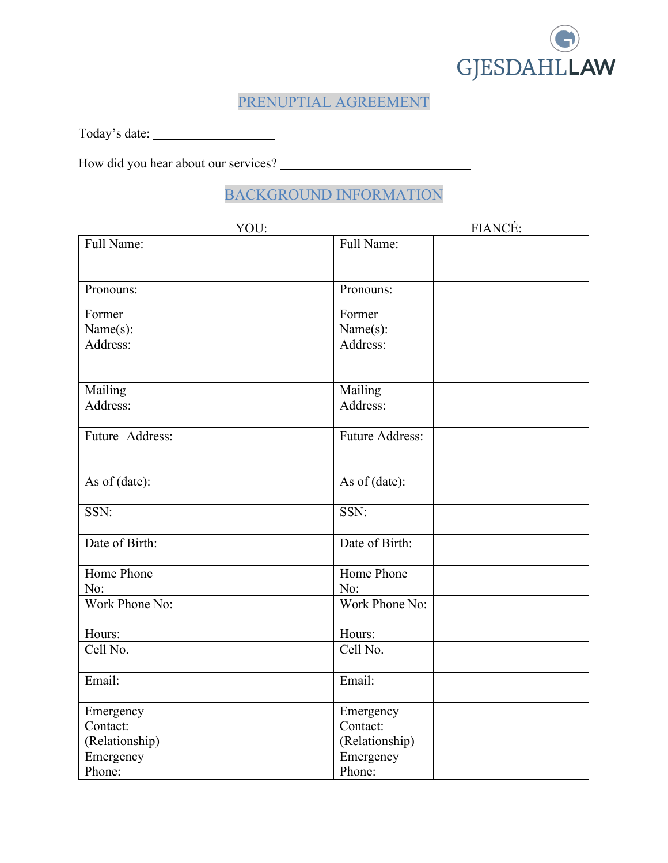

### PRENUPTIAL AGREEMENT

Today's date:

How did you hear about our services?

### BACKGROUND INFORMATION

| YOU:            | FIANCÉ:                |
|-----------------|------------------------|
| Full Name:      | Full Name:             |
| Pronouns:       | Pronouns:              |
| Former          | Former                 |
| Name(s):        | Name(s):               |
| Address:        | Address:               |
| Mailing         | Mailing                |
| Address:        | Address:               |
| Future Address: | <b>Future Address:</b> |
| As of (date):   | As of (date):          |
| SSN:            | SSN:                   |
| Date of Birth:  | Date of Birth:         |
| Home Phone      | Home Phone             |
| No:             | No:                    |
| Work Phone No:  | Work Phone No:         |
| Hours:          | Hours:                 |
| Cell No.        | Cell No.               |
| Email:          | Email:                 |
| Emergency       | Emergency              |
| Contact:        | Contact:               |
| (Relationship)  | (Relationship)         |
| Emergency       | Emergency              |
| Phone:          | Phone:                 |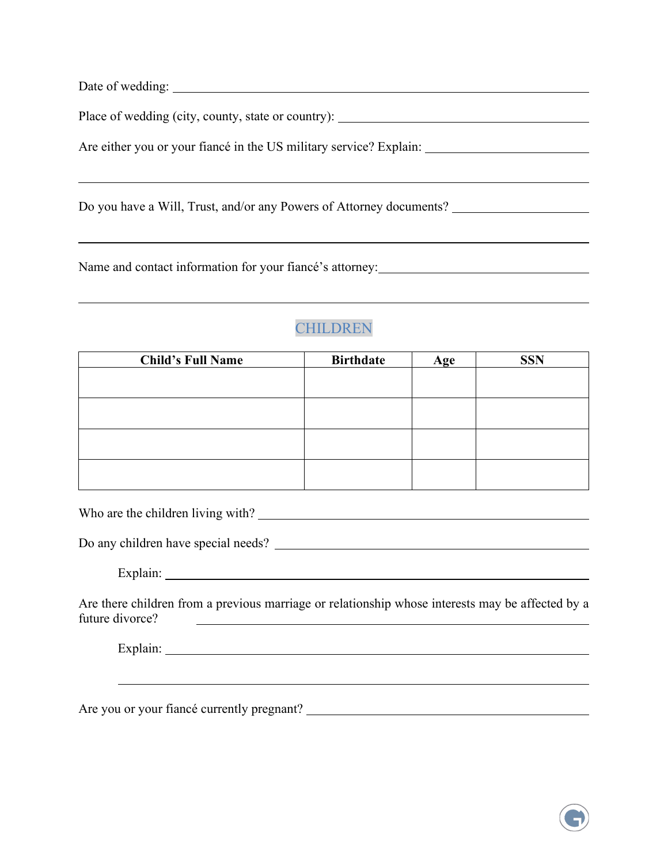| Date of wedding: |  |  |  |
|------------------|--|--|--|
|                  |  |  |  |

Place of wedding (city, county, state or country): \_\_\_\_\_\_\_\_\_\_\_\_\_\_\_\_\_\_\_\_\_\_\_\_\_\_\_\_\_

Are either you or your fiancé in the US military service? Explain:

Do you have a Will, Trust, and/or any Powers of Attorney documents?

Name and contact information for your fiancé's attorney:

# **CHILDREN**

| <b>Child's Full Name</b> | <b>Birthdate</b> | Age | <b>SSN</b> |
|--------------------------|------------------|-----|------------|
|                          |                  |     |            |
|                          |                  |     |            |
|                          |                  |     |            |
|                          |                  |     |            |
|                          |                  |     |            |
|                          |                  |     |            |
|                          |                  |     |            |
|                          |                  |     |            |

Who are the children living with?

Do any children have special needs?

Explain:

 $\overline{a}$ 

Are there children from a previous marriage or relationship whose interests may be affected by a future divorce?

Explain:

Are you or your fiance currently pregnant?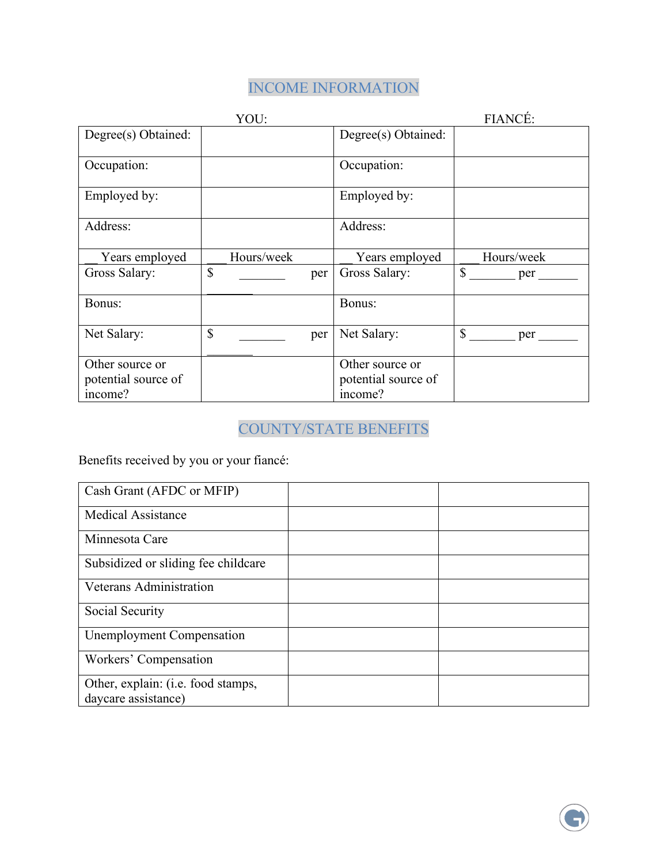# INCOME INFORMATION

|                     | YOU:       |     | FIANCÉ:             |                     |
|---------------------|------------|-----|---------------------|---------------------|
| Degree(s) Obtained: |            |     | Degree(s) Obtained: |                     |
| Occupation:         |            |     | Occupation:         |                     |
| Employed by:        |            |     | Employed by:        |                     |
| Address:            |            |     | Address:            |                     |
| Years employed      | Hours/week |     | Years employed      | Hours/week          |
| Gross Salary:       | \$         | per | Gross Salary:       | $\mathbb{S}$<br>per |
| Bonus:              |            |     | Bonus:              |                     |
| Net Salary:         | \$         | per | Net Salary:         | $\mathbb{S}$<br>per |
| Other source or     |            |     | Other source or     |                     |
| potential source of |            |     | potential source of |                     |
| income?             |            |     | income?             |                     |

# COUNTY/STATE BENEFITS

Benefits received by you or your fiancé:

| Cash Grant (AFDC or MFIP)                                 |  |
|-----------------------------------------------------------|--|
| <b>Medical Assistance</b>                                 |  |
| Minnesota Care                                            |  |
| Subsidized or sliding fee childcare                       |  |
| Veterans Administration                                   |  |
| Social Security                                           |  |
| Unemployment Compensation                                 |  |
| Workers' Compensation                                     |  |
| Other, explain: (i.e. food stamps,<br>daycare assistance) |  |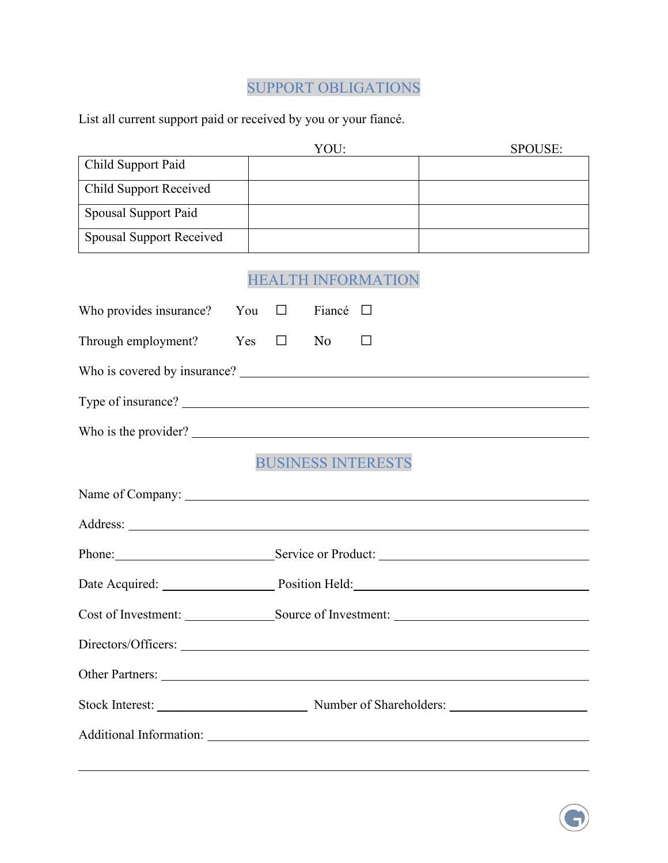# SUPPORT OBLIGATIONS

List all current support paid or received by you or your fiancé.

 $\overline{a}$ 

|                                       | YOU:                                         | SPOUSE: |
|---------------------------------------|----------------------------------------------|---------|
| Child Support Paid                    |                                              |         |
| <b>Child Support Received</b>         |                                              |         |
| Spousal Support Paid                  |                                              |         |
| <b>Spousal Support Received</b>       |                                              |         |
|                                       | <b>HEALTH INFORMATION</b>                    |         |
| Who provides insurance? You $\square$ | Fiancé $\Box$                                |         |
| Through employment?                   | $\Box$<br>Yes<br>N <sub>0</sub>              |         |
|                                       |                                              |         |
|                                       |                                              |         |
|                                       | Who is the provider?                         |         |
|                                       | <b>BUSINESS INTERESTS</b>                    |         |
|                                       |                                              |         |
|                                       |                                              |         |
|                                       | Phone: Service or Product:                   |         |
|                                       | Date Acquired: Position Held: Position Held: |         |
| Cost of Investment:                   | Source of Investment:                        |         |
|                                       |                                              |         |
|                                       |                                              |         |
|                                       |                                              |         |
|                                       |                                              |         |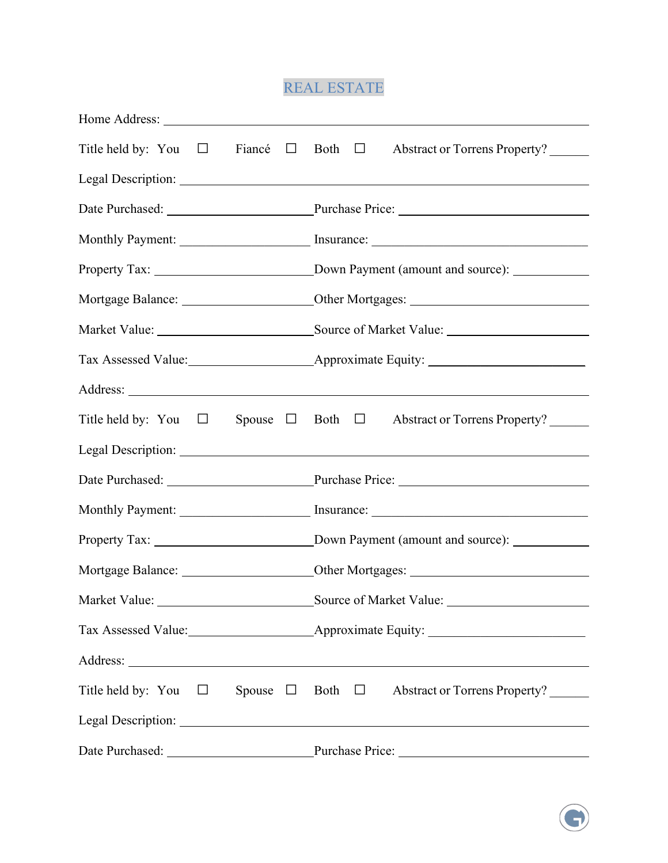# REAL ESTATE

| Title held by: You $\Box$ Fiance $\Box$ Both $\Box$ Abstract or Torrens Property? |
|-----------------------------------------------------------------------------------|
|                                                                                   |
| Date Purchased: Purchase Price: Purchase Price:                                   |
|                                                                                   |
|                                                                                   |
|                                                                                   |
|                                                                                   |
|                                                                                   |
|                                                                                   |
| Title held by: You $\Box$ Spouse $\Box$ Both $\Box$ Abstract or Torrens Property? |
|                                                                                   |
| Date Purchased: Purchase Price: Purchase Price:                                   |
|                                                                                   |
|                                                                                   |
|                                                                                   |
|                                                                                   |
|                                                                                   |
|                                                                                   |
| Title held by: You $\Box$ Spouse $\Box$ Both $\Box$ Abstract or Torrens Property? |
|                                                                                   |
| Date Purchased: Purchase Price: Purchase Price:                                   |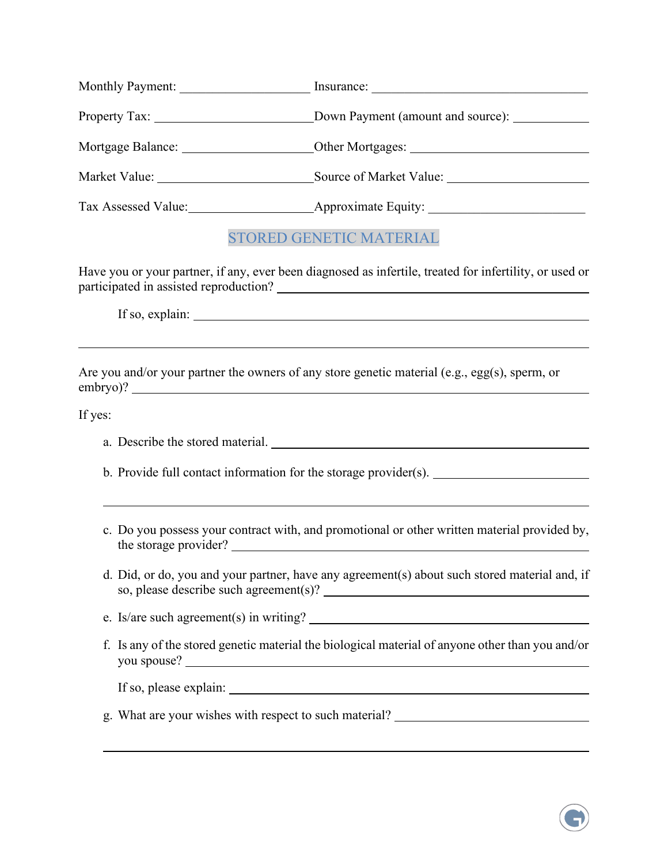| <b>Monthly Payment:</b> | Insurance:              |
|-------------------------|-------------------------|
|                         |                         |
|                         |                         |
| Market Value:           | Source of Market Value: |
| Tax Assessed Value:     | Approximate Equity:     |

### STORED GENETIC MATERIAL

Have you or your partner, if any, ever been diagnosed as infertile, treated for infertility, or used or participated in assisted reproduction?

If so, explain:

Are you and/or your partner the owners of any store genetic material (e.g., egg(s), sperm, or embryo)?

If yes:

 $\overline{a}$ 

 $\overline{a}$ 

l

a. Describe the stored material.

b. Provide full contact information for the storage provider(s).

- c. Do you possess your contract with, and promotional or other written material provided by, the storage provider?
- d. Did, or do, you and your partner, have any agreement(s) about such stored material and, if so, please describe such agreement(s)?

e. Is/are such agreement(s) in writing?

f. Is any of the stored genetic material the biological material of anyone other than you and/or you spouse?

If so, please explain:

g. What are your wishes with respect to such material?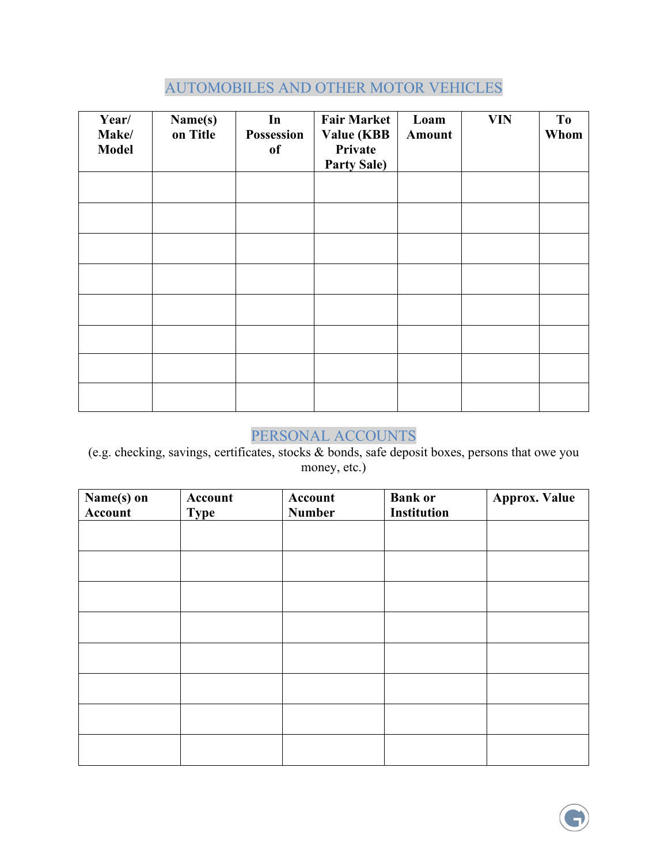# AUTOMOBILES AND OTHER MOTOR VEHICLES

| Year/<br>Make/<br><b>Model</b> | Name(s)<br>on Title | In<br>Possession<br><sub>of</sub> | <b>Fair Market</b><br><b>Value (KBB</b><br>Private<br><b>Party Sale)</b> | Loam<br><b>Amount</b> | <b>VIN</b> | To<br>Whom |
|--------------------------------|---------------------|-----------------------------------|--------------------------------------------------------------------------|-----------------------|------------|------------|
|                                |                     |                                   |                                                                          |                       |            |            |
|                                |                     |                                   |                                                                          |                       |            |            |
|                                |                     |                                   |                                                                          |                       |            |            |
|                                |                     |                                   |                                                                          |                       |            |            |
|                                |                     |                                   |                                                                          |                       |            |            |
|                                |                     |                                   |                                                                          |                       |            |            |
|                                |                     |                                   |                                                                          |                       |            |            |
|                                |                     |                                   |                                                                          |                       |            |            |

#### PERSONAL ACCOUNTS

(e.g. checking, savings, certificates, stocks & bonds, safe deposit boxes, persons that owe you money, etc.)

| $\overline{\mathbf{Name}}(s)$ on<br>Account | Account<br><b>Type</b> | Account<br><b>Number</b> | <b>Bank or</b><br><b>Institution</b> | <b>Approx. Value</b> |
|---------------------------------------------|------------------------|--------------------------|--------------------------------------|----------------------|
|                                             |                        |                          |                                      |                      |
|                                             |                        |                          |                                      |                      |
|                                             |                        |                          |                                      |                      |
|                                             |                        |                          |                                      |                      |
|                                             |                        |                          |                                      |                      |
|                                             |                        |                          |                                      |                      |
|                                             |                        |                          |                                      |                      |
|                                             |                        |                          |                                      |                      |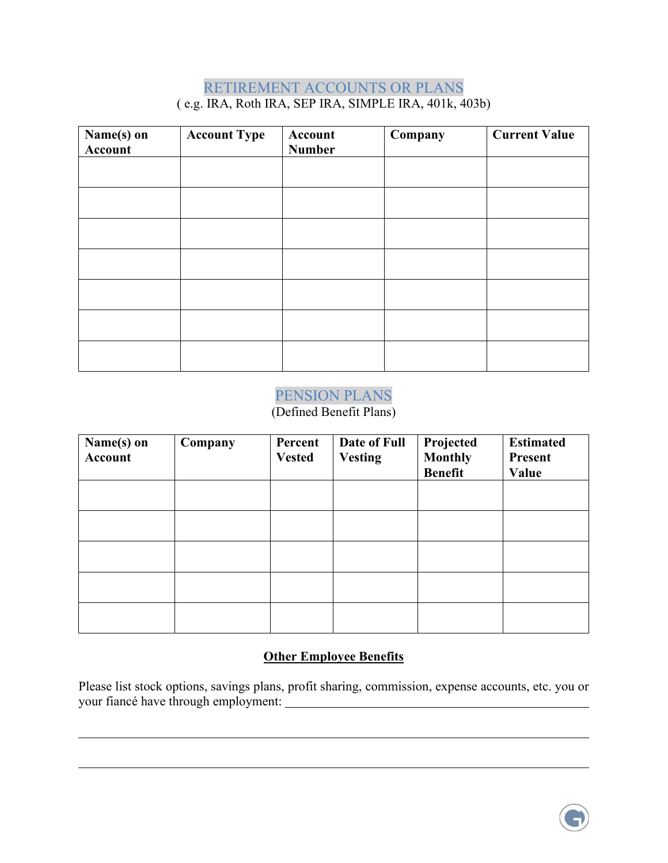### RETIREMENT ACCOUNTS OR PLANS ( e.g. IRA, Roth IRA, SEP IRA, SIMPLE IRA, 401k, 403b)

| Name(s) on<br>Account | <b>Account Type</b> | Account<br><b>Number</b> | Company | <b>Current Value</b> |
|-----------------------|---------------------|--------------------------|---------|----------------------|
|                       |                     |                          |         |                      |
|                       |                     |                          |         |                      |
|                       |                     |                          |         |                      |
|                       |                     |                          |         |                      |
|                       |                     |                          |         |                      |
|                       |                     |                          |         |                      |
|                       |                     |                          |         |                      |

#### PENSION PLANS

(Defined Benefit Plans)

| Name(s) on<br><b>Account</b> | Company | Percent<br><b>Vested</b> | Date of Full<br><b>Vesting</b> | Projected<br><b>Monthly</b><br><b>Benefit</b> | <b>Estimated</b><br><b>Present</b><br>Value |
|------------------------------|---------|--------------------------|--------------------------------|-----------------------------------------------|---------------------------------------------|
|                              |         |                          |                                |                                               |                                             |
|                              |         |                          |                                |                                               |                                             |
|                              |         |                          |                                |                                               |                                             |
|                              |         |                          |                                |                                               |                                             |
|                              |         |                          |                                |                                               |                                             |

#### **Other Employee Benefits**

Please list stock options, savings plans, profit sharing, commission, expense accounts, etc. you or your fiancé have through employment:

 $\overline{a}$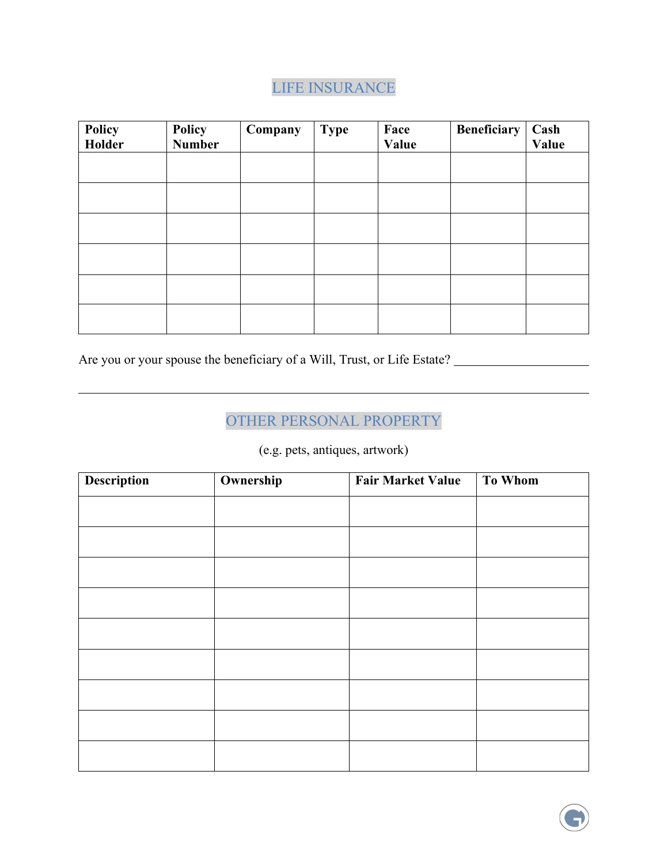# LIFE INSURANCE

| Policy<br><b>Holder</b> | Policy<br><b>Number</b> | Company | <b>Type</b> | Face<br>Value | Beneficiary | Cash<br>Value |
|-------------------------|-------------------------|---------|-------------|---------------|-------------|---------------|
|                         |                         |         |             |               |             |               |
|                         |                         |         |             |               |             |               |
|                         |                         |         |             |               |             |               |
|                         |                         |         |             |               |             |               |
|                         |                         |         |             |               |             |               |
|                         |                         |         |             |               |             |               |

Are you or your spouse the beneficiary of a Will, Trust, or Life Estate?

 $\overline{a}$ 

### OTHER PERSONAL PROPERTY

(e.g. pets, antiques, artwork)

| <b>Description</b> | Ownership | <b>Fair Market Value</b> | To Whom |
|--------------------|-----------|--------------------------|---------|
|                    |           |                          |         |
|                    |           |                          |         |
|                    |           |                          |         |
|                    |           |                          |         |
|                    |           |                          |         |
|                    |           |                          |         |
|                    |           |                          |         |
|                    |           |                          |         |
|                    |           |                          |         |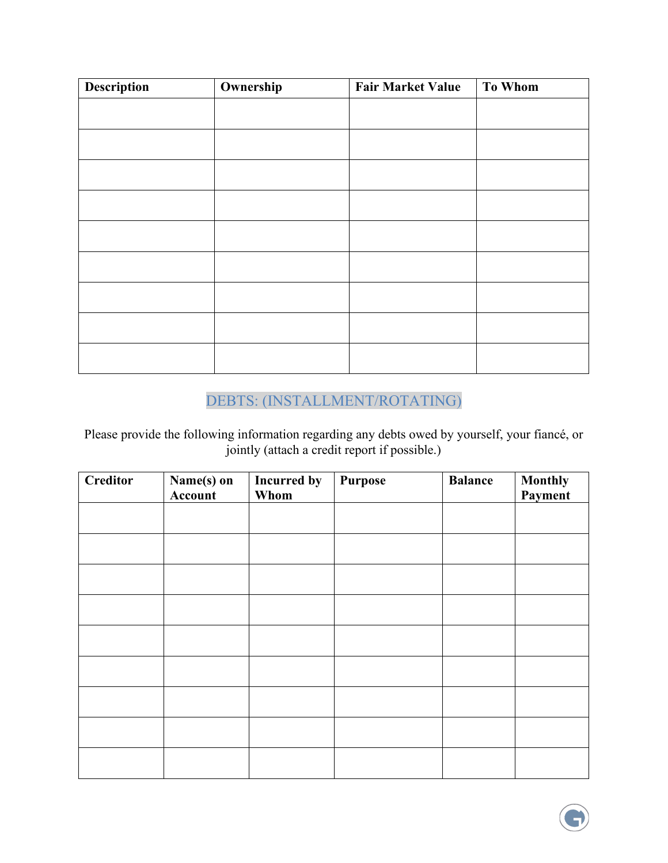| <b>Description</b> | Ownership | <b>Fair Market Value</b> | <b>To Whom</b> |
|--------------------|-----------|--------------------------|----------------|
|                    |           |                          |                |
|                    |           |                          |                |
|                    |           |                          |                |
|                    |           |                          |                |
|                    |           |                          |                |
|                    |           |                          |                |
|                    |           |                          |                |
|                    |           |                          |                |
|                    |           |                          |                |
|                    |           |                          |                |

# DEBTS: (INSTALLMENT/ROTATING)

Please provide the following information regarding any debts owed by yourself, your fiancé, or jointly (attach a credit report if possible.)

| <b>Creditor</b> | Name(s) on<br>Account | <b>Incurred by</b><br>Whom | <b>Purpose</b> | <b>Balance</b> | <b>Monthly</b><br>Payment |
|-----------------|-----------------------|----------------------------|----------------|----------------|---------------------------|
|                 |                       |                            |                |                |                           |
|                 |                       |                            |                |                |                           |
|                 |                       |                            |                |                |                           |
|                 |                       |                            |                |                |                           |
|                 |                       |                            |                |                |                           |
|                 |                       |                            |                |                |                           |
|                 |                       |                            |                |                |                           |
|                 |                       |                            |                |                |                           |
|                 |                       |                            |                |                |                           |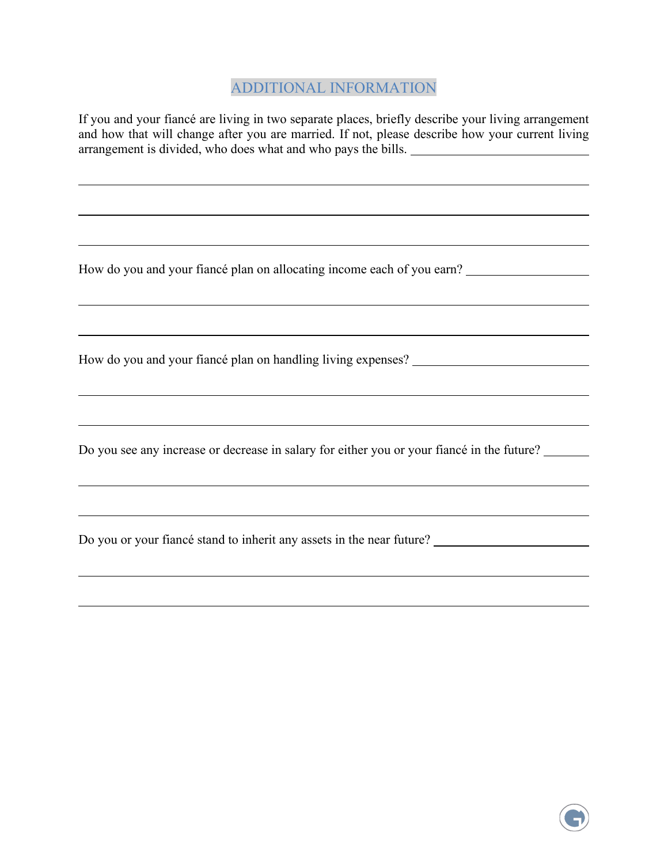#### ADDITIONAL INFORMATION

If you and your fiancé are living in two separate places, briefly describe your living arrangement and how that will change after you are married. If not, please describe how your current living arrangement is divided, who does what and who pays the bills.

How do you and your fiancé plan on allocating income each of you earn?

How do you and your fiancé plan on handling living expenses?

 $\overline{a}$ 

 $\overline{a}$ 

 $\overline{a}$ 

Do you see any increase or decrease in salary for either you or your fiancé in the future?

Do you or your fiancé stand to inherit any assets in the near future?